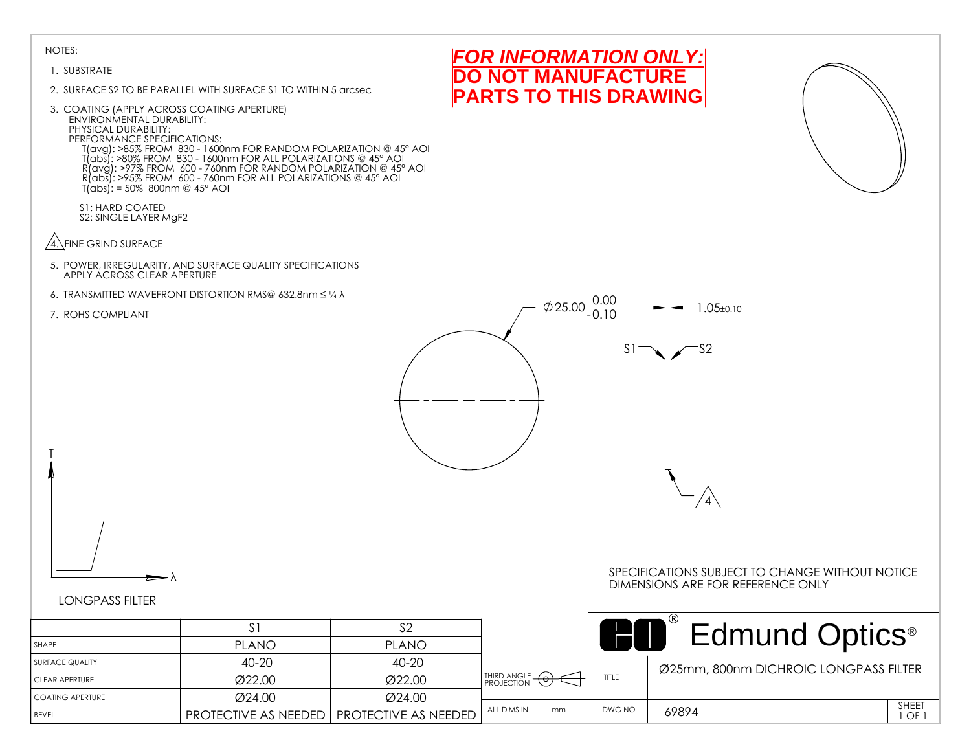#### 1. SUBSTRATE

- 2. SURFACE S2 TO BE PARALLEL WITH SURFACE S1 TO WITHIN 5 arcsec
- 3. COATING (APPLY ACROSS COATING APERTURE) ENVIRONMENTAL DURABILITY: PHYSICAL DURABILITY: PERFORMANCE SPECIFICATIONS: T(avg): >85% FROM 830 - 1600nm FOR RANDOM POLARIZATION @ 45° AOI T(abs): >80% FROM 830 - 1600nm FOR ALL POLARIZATIONS @ 45° AOI R(avg): >97% FROM 600 - 760nm FOR RANDOM POLARIZATION @ 45° AOI R(abs): >95% FROM 600 - 760nm FOR ALL POLARIZATIONS @ 45° AOI T(abs): = 50% 800nm @ 45° AOI
	- S1: HARD COATED S2: SINGLE LAYER MgF2
- $\sqrt{4}$ . FINE GRIND SURFACE
- 5. POWER, IRREGULARITY, AND SURFACE QUALITY SPECIFICATIONS APPLY ACROSS CLEAR APERTURE
- 6. TRANSMITTED WAVEFRONT DISTORTION RMS@ 632.8nm ≤ ¼ λ
- 7. ROHS COMPLIANT

T







λ

#### SPECIFICATIONS SUBJECT TO CHANGE WITHOUT NOTICE DIMENSIONS ARE FOR REFERENCE ONLY

|                    |                                                    |              |               |    |        | <b>Edmund Optics</b> <sup>®</sup>     |             |
|--------------------|----------------------------------------------------|--------------|---------------|----|--------|---------------------------------------|-------------|
| SHAPE              | <b>PLANO</b>                                       | <b>PLANO</b> |               |    |        |                                       |             |
| SURFACE QUALITY    | 40-20                                              | 40-20        |               |    |        | Ø25mm, 800nm DICHROIC LONGPASS FILTER |             |
| CLEAR APERTURE     | Ø22.00                                             | Ø22.00       | THIRD ANGLE - |    | TITLE  |                                       |             |
| I COATING APERTURE | Ø24.00                                             | Ø24.00       |               |    |        |                                       |             |
| <b>BEVEL</b>       | <b>PROTECTIVE AS NEEDED   PROTECTIVE AS NEEDED</b> |              | ALL DIMS IN   | mm | DWG NO | 69894                                 | SHEET<br>OF |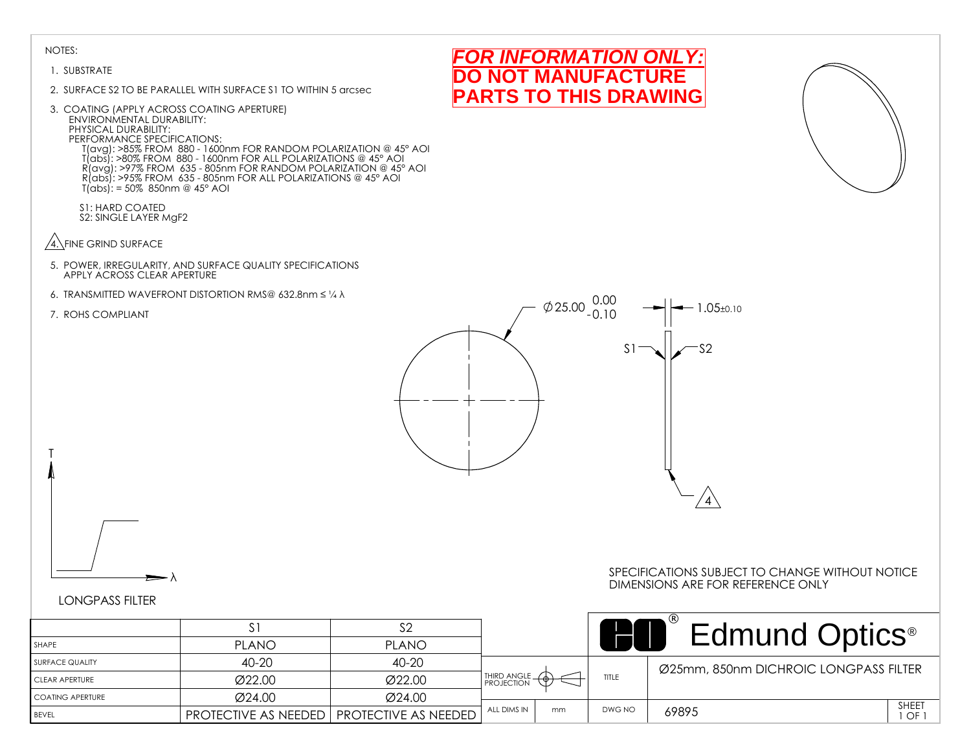#### 1. SUBSTRATE

- 2. SURFACE S2 TO BE PARALLEL WITH SURFACE S1 TO WITHIN 5 arcsec
- 3. COATING (APPLY ACROSS COATING APERTURE) ENVIRONMENTAL DURABILITY: PHYSICAL DURABILITY: PERFORMANCE SPECIFICATIONS: T(avg): >85% FROM 880 - 1600nm FOR RANDOM POLARIZATION @ 45° AOI T(abs): >80% FROM 880 - 1600nm FOR ALL POLARIZATIONS @ 45° AOI R(avg): >97% FROM 635 - 805nm FOR RANDOM POLARIZATION @ 45° AOI R(abs): >95% FROM 635 - 805nm FOR ALL POLARIZATIONS @ 45° AOI T(abs): = 50% 850nm @ 45° AOI
	- S1: HARD COATED S2: SINGLE LAYER MgF2
- $\sqrt{4}$ . FINE GRIND SURFACE
- 5. POWER, IRREGULARITY, AND SURFACE QUALITY SPECIFICATIONS APPLY ACROSS CLEAR APERTURE
- 6. TRANSMITTED WAVEFRONT DISTORTION RMS@ 632.8nm ≤ ¼ λ
- 7. ROHS COMPLIANT

T







# λ

#### SPECIFICATIONS SUBJECT TO CHANGE WITHOUT NOTICE DIMENSIONS ARE FOR REFERENCE ONLY

|                    | $\mathcal{L}_1$                             |              |                             |    |        | <b>Edmund Optics</b> <sup>®</sup>     |             |
|--------------------|---------------------------------------------|--------------|-----------------------------|----|--------|---------------------------------------|-------------|
| l SHAPE            | <b>PLANO</b>                                | <b>PLANO</b> |                             |    |        |                                       |             |
| I SURFACE QUALITY  | 40-20                                       | 40-20        |                             |    |        | Ø25mm, 850nm DICHROIC LONGPASS FILTER |             |
| I CLEAR APERTURE   | Ø22.00                                      | Ø22.00       | THIRD ANGLE _<br>PROJECTION |    | TITLE  |                                       |             |
| I COATING APERTURE | $\varnothing$ 24.00                         | Ø24.00       |                             |    |        |                                       |             |
| <b>BEVEL</b>       | PROTECTIVE AS NEEDED   PROTECTIVE AS NEEDED |              | ALL DIMS IN                 | mm | DWG NO | 69895                                 | SHEET<br>OF |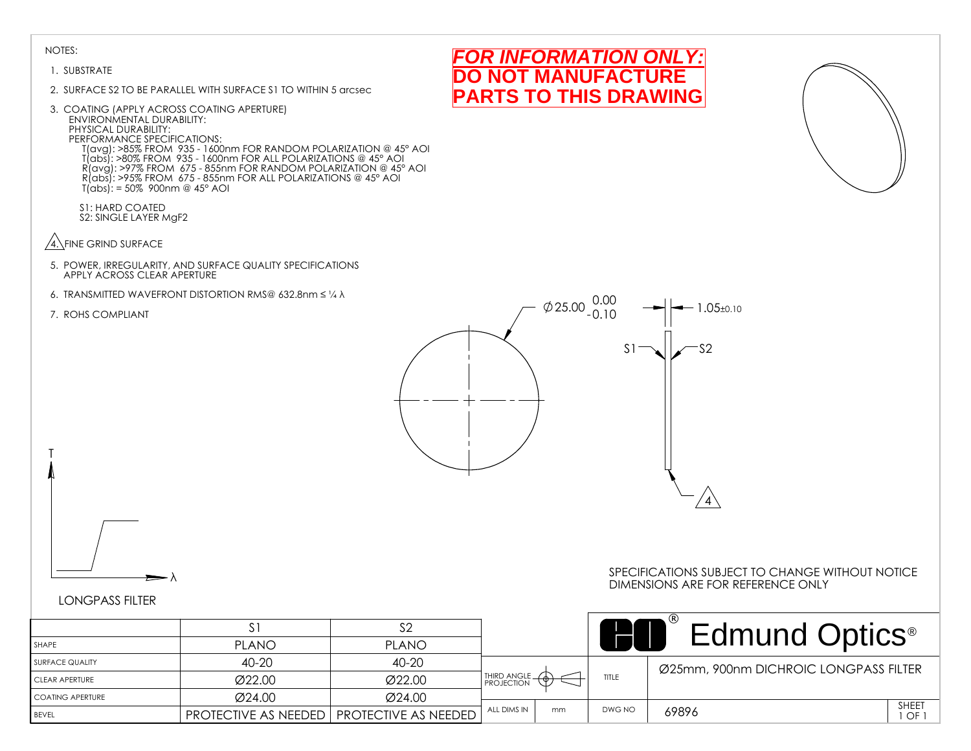#### 1. SUBSTRATE

- 2. SURFACE S2 TO BE PARALLEL WITH SURFACE S1 TO WITHIN 5 arcsec
- 3. COATING (APPLY ACROSS COATING APERTURE) ENVIRONMENTAL DURABILITY: PHYSICAL DURABILITY: PERFORMANCE SPECIFICATIONS: T(avg): >85% FROM 935 - 1600nm FOR RANDOM POLARIZATION @ 45° AOI T(abs): >80% FROM 935 - 1600nm FOR ALL POLARIZATIONS @ 45° AOI R(avg): >97% FROM 675 - 855nm FOR RANDOM POLARIZATION @ 45° AOI R(abs): >95% FROM 675 - 855nm FOR ALL POLARIZATIONS @ 45° AOI T(abs): = 50% 900nm @ 45° AOI
	- S1: HARD COATED S2: SINGLE LAYER MgF2
- $\sqrt{4}$ . FINE GRIND SURFACE
- 5. POWER, IRREGULARITY, AND SURFACE QUALITY SPECIFICATIONS APPLY ACROSS CLEAR APERTURE
- 6. TRANSMITTED WAVEFRONT DISTORTION RMS@ 632.8nm ≤ ¼ λ
- 7. ROHS COMPLIANT

T



*FOR INFORMATION ONLY:* **NOT MANUFACTURE PARTS TO THIS DRAWING**

# LONGPASS FILTER

λ

|                    | S.                          | S2                          |               |    |        | Edmund Optics <sup>®</sup>              |
|--------------------|-----------------------------|-----------------------------|---------------|----|--------|-----------------------------------------|
| SHAPE              | <b>PLANO</b>                | <b>PLANO</b>                |               |    |        |                                         |
| SURFACE QUALITY    | 40-20                       | 40-20                       |               |    |        | Ø25mm, 900nm DICHROIC LONGPASS FILTER   |
| I CLEAR APERTURE   | Ø22.00                      | Ø22.00                      | THIRD ANGLE - |    | TITLE  |                                         |
| I COATING APERTURE | Ø24.00                      | Ø24.00                      |               |    |        |                                         |
| <b>BEVEL</b>       | <b>PROTECTIVE AS NEEDED</b> | <b>PROTECTIVE AS NEEDED</b> | ALL DIMS IN   | mm | DWG NO | SHEET<br>69896<br>$1$ OF $\overline{1}$ |

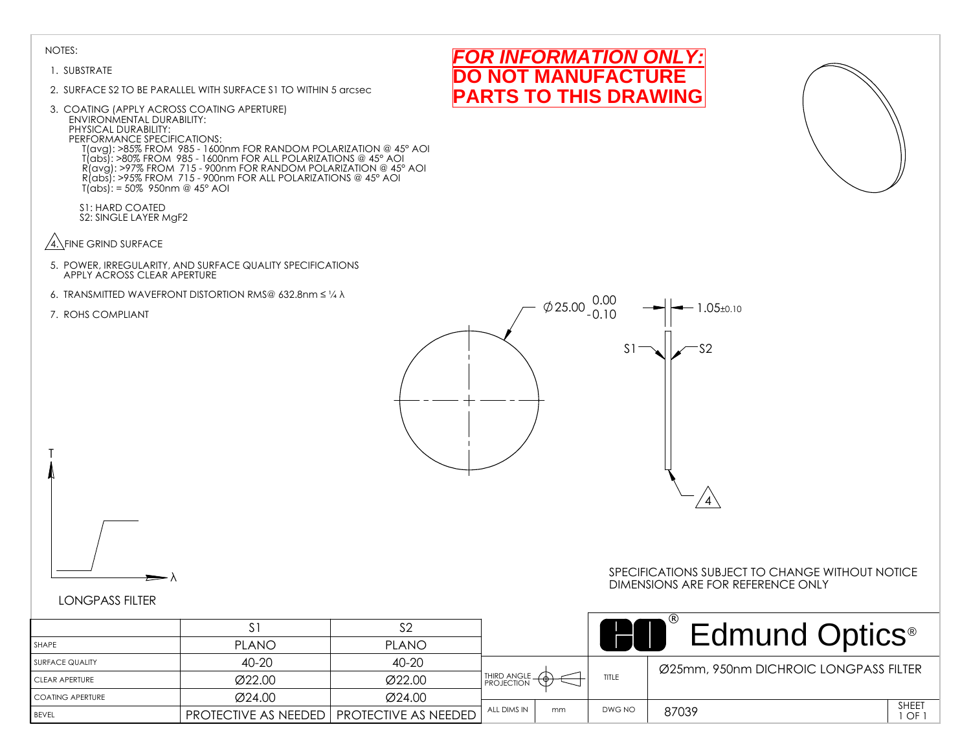#### 1. SUBSTRATE

- 2. SURFACE S2 TO BE PARALLEL WITH SURFACE S1 TO WITHIN 5 arcsec
- 3. COATING (APPLY ACROSS COATING APERTURE) ENVIRONMENTAL DURABILITY: PHYSICAL DURABILITY: PERFORMANCE SPECIFICATIONS: T(avg): >85% FROM 985 - 1600nm FOR RANDOM POLARIZATION @ 45° AOI T(abs): >80% FROM 985 - 1600nm FOR ALL POLARIZATIONS @ 45° AOI R(avg): >97% FROM 715 - 900nm FOR RANDOM POLARIZATION @ 45° AOI R(abs): >95% FROM 715 - 900nm FOR ALL POLARIZATIONS @ 45° AOI T(abs): = 50% 950nm @ 45° AOI
	- S1: HARD COATED S2: SINGLE LAYER MgF2
- $\sqrt{4}$ . FINE GRIND SURFACE
- 5. POWER, IRREGULARITY, AND SURFACE QUALITY SPECIFICATIONS APPLY ACROSS CLEAR APERTURE
- 6. TRANSMITTED WAVEFRONT DISTORTION RMS@ 632.8nm ≤ ¼ λ
- 7. ROHS COMPLIANT

T







# λ

#### SPECIFICATIONS SUBJECT TO CHANGE WITHOUT NOTICE DIMENSIONS ARE FOR REFERENCE ONLY

|                         |                                                    |              |                    |    |        | <b>Edmund Optics</b> <sup>®</sup>     |                    |
|-------------------------|----------------------------------------------------|--------------|--------------------|----|--------|---------------------------------------|--------------------|
| SHAPE                   | <b>PLANO</b>                                       | <b>PLANO</b> |                    |    |        |                                       |                    |
| <b>SURFACE QUALITY</b>  | 40-20                                              | 40-20        |                    |    |        | Ø25mm, 950nm DICHROIC LONGPASS FILTER |                    |
| <b>CLEAR APERTURE</b>   | Ø22.00                                             | Ø22.00       | <b>THIRD ANGLE</b> |    | TITLE  |                                       |                    |
| <b>COATING APERTURE</b> | Ø24.00                                             | Ø24.00       |                    |    |        |                                       |                    |
| <b>BEVEL</b>            | <b>PROTECTIVE AS NEEDED   PROTECTIVE AS NEEDED</b> |              | ALL DIMS IN        | mm | DWG NO | 87039                                 | <b>SHEET</b><br>OF |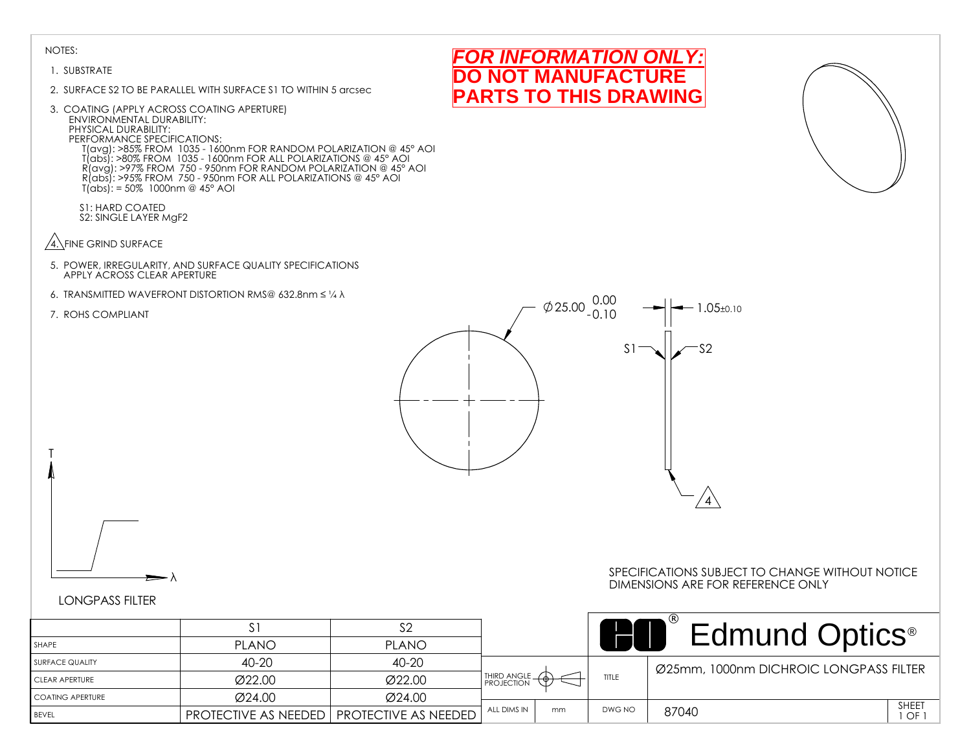#### 1. SUBSTRATE

- 2. SURFACE S2 TO BE PARALLEL WITH SURFACE S1 TO WITHIN 5 arcsec
- 3. COATING (APPLY ACROSS COATING APERTURE) ENVIRONMENTAL DURABILITY: PHYSICAL DURABILITY: PERFORMANCE SPECIFICATIONS: T(avg): >85% FROM 1035 - 1600nm FOR RANDOM POLARIZATION @ 45° AOI T(abs): >80% FROM 1035 - 1600nm FOR ALL POLARIZATIONS @ 45° AOI R(avg): >97% FROM 750 - 950nm FOR RANDOM POLARIZATION @ 45° AOI R(abs): >95% FROM 750 - 950nm FOR ALL POLARIZATIONS @ 45° AOI T(abs): = 50% 1000nm @ 45° AOI
	- S1: HARD COATED S2: SINGLE LAYER MgF2
- $\sqrt{4}$ . FINE GRIND SURFACE
- 5. POWER, IRREGULARITY, AND SURFACE QUALITY SPECIFICATIONS APPLY ACROSS CLEAR APERTURE
- 6. TRANSMITTED WAVEFRONT DISTORTION RMS@ 632.8nm ≤ ¼ λ
- 7. ROHS COMPLIANT

T



*FOR INFORMATION ONLY:* **NOT MANUFACTURE PARTS TO THIS DRAWING**

# LONGPASS FILTER

λ

|                    | $\mathcal{L}$               |                                   |               |    |        | <b>Edmund Optics</b> <sup>®</sup>      |
|--------------------|-----------------------------|-----------------------------------|---------------|----|--------|----------------------------------------|
| SHAPE              | <b>PLANO</b>                | <b>PLANO</b>                      |               |    |        |                                        |
| SURFACE QUALITY    | 40-20                       | 40-20                             |               |    |        | Ø25mm, 1000nm DICHROIC LONGPASS FILTER |
| CLEAR APERTURE     | Ø22.00                      | Ø22.00                            | THIRD ANGLE - |    | TITLE  |                                        |
| I COATING APERTURE | Ø24.00                      | Ø24.00                            |               |    |        |                                        |
| <b>BEVEL</b>       | <b>PROTECTIVE AS NEEDED</b> | <sup>I</sup> PROTECTIVE AS NEEDED | ALL DIMS IN   | mm | DWG NO | SHEET<br>87040<br>1 OF 1               |

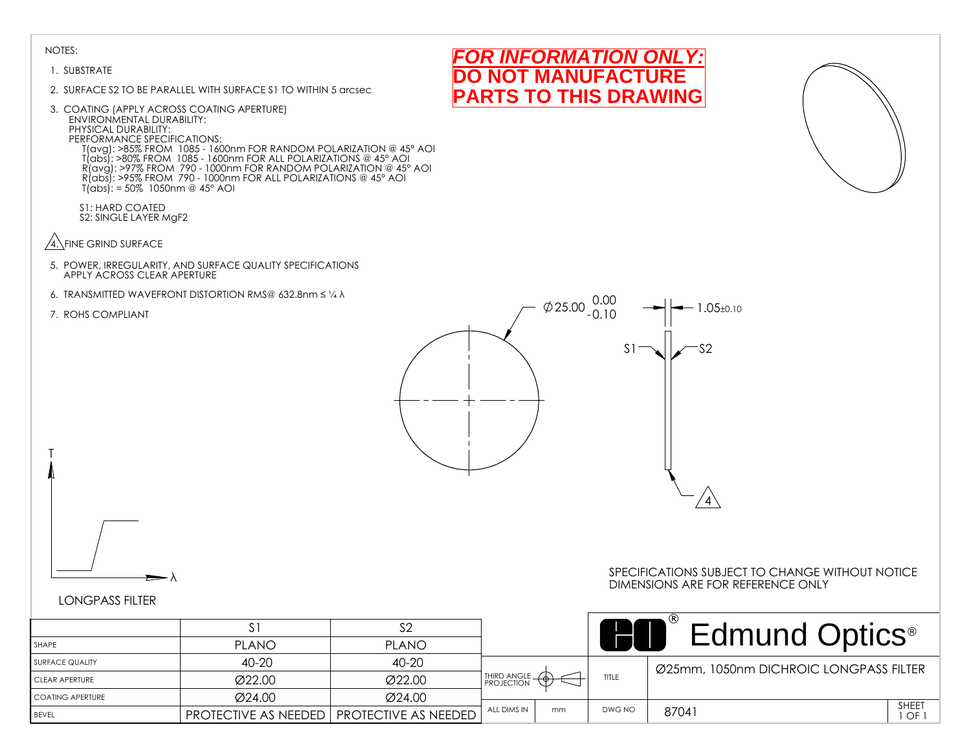#### 1. SUBSTRATE

- 2. SURFACE S2 TO BE PARALLEL WITH SURFACE S1 TO WITHIN 5 arcsec
- 3. COATING (APPLY ACROSS COATING APERTURE) ENVIRONMENTAL DURABILITY: PHYSICAL DURABILITY: PERFORMANCE SPECIFICATIONS: T(avg): >85% FROM 1085 - 1600nm FOR RANDOM POLARIZATION @ 45° AOI T(abs): >80% FROM 1085 - 1600nm FOR ALL POLARIZATIONS @ 45° AOI R(avg): >97% FROM 790 - 1000nm FOR RANDOM POLARIZATION @ 45° AOI R(abs): >95% FROM 790 - 1000nm FOR ALL POLARIZATIONS @ 45° AOI  $T(dbs)' = 50\% 1050nm @ 45° AOI$ 
	- S1: HARD COATED S2: SINGLE LAYER MgF2
- $\sqrt{4}$ . FINE GRIND SURFACE
- 5. POWER, IRREGULARITY, AND SURFACE QUALITY SPECIFICATIONS APPLY ACROSS CLEAR APERTURE
- 6. TRANSMITTED WAVEFRONT DISTORTION RMS@ 632.8nm ≤ ¼ λ
- 7. ROHS COMPLIANT

T







# λ

#### SPECIFICATIONS SUBJECT TO CHANGE WITHOUT NOTICE DIMENSIONS ARE FOR REFERENCE ONLY

|                   |                                                    |              |                 |    |        | <b>Edmund Optics</b> <sup>®</sup>      |                    |
|-------------------|----------------------------------------------------|--------------|-----------------|----|--------|----------------------------------------|--------------------|
| SHAPE             | <b>PLANO</b>                                       | <b>PLANO</b> |                 |    |        |                                        |                    |
| I SURFACE QUALITY | 40-20                                              | 40-20        |                 |    |        | Ø25mm, 1050nm DICHROIC LONGPASS FILTER |                    |
| CLEAR APERTURE    | Ø22.00                                             | Ø22.00       | THIRD ANGLE - O |    | TITLE  |                                        |                    |
| COATING APERTURE  | Ø24.00                                             | Ø24.00       |                 |    |        |                                        |                    |
| BEVEL             | <b>PROTECTIVE AS NEEDED   PROTECTIVE AS NEEDED</b> |              | ALL DIMS IN     | mm | DWG NO | 87041                                  | <b>SHEET</b><br>OF |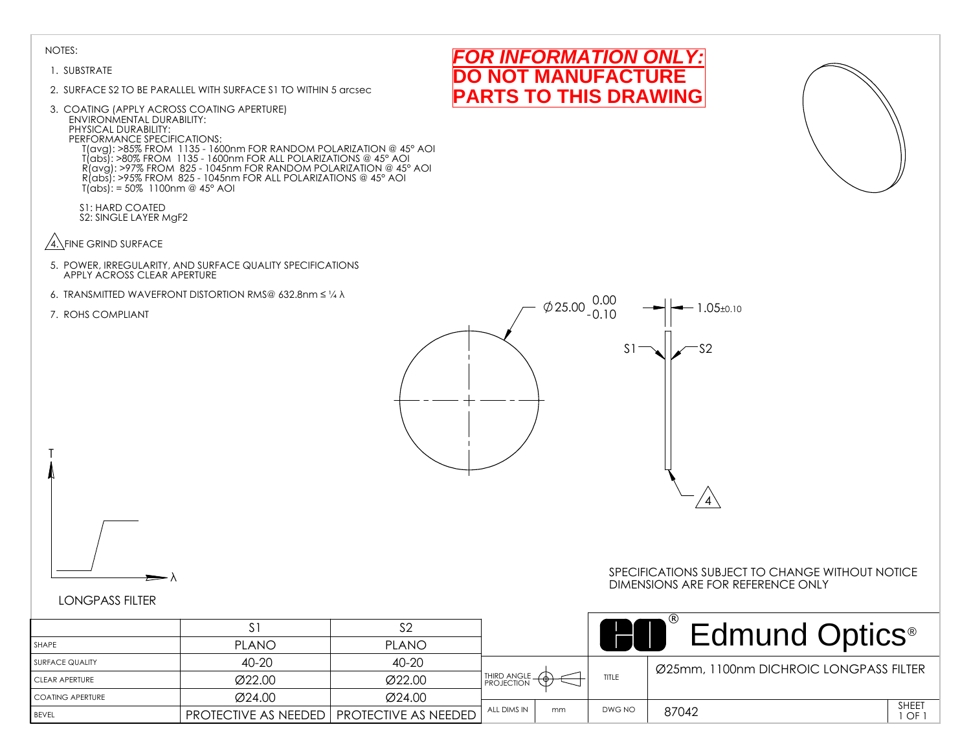#### 1. SUBSTRATE

- 2. SURFACE S2 TO BE PARALLEL WITH SURFACE S1 TO WITHIN 5 arcsec
- 3. COATING (APPLY ACROSS COATING APERTURE) ENVIRONMENTAL DURABILITY: PHYSICAL DURABILITY: PERFORMANCE SPECIFICATIONS: T(avg): >85% FROM 1135 - 1600nm FOR RANDOM POLARIZATION @ 45° AOI T(abs): >80% FROM 1135 - 1600nm FOR ALL POLARIZATIONS @ 45° AOI R(avg): >97% FROM 825 - 1045nm FOR RANDOM POLARIZATION @ 45° AOI R(abs): >95% FROM 825 - 1045nm FOR ALL POLARIZATIONS @ 45° AOI  $T(dbs)' = 50\%$  1100nm @ 45° AOI

S1: HARD COATED S2: SINGLE LAYER MgF2

- $\sqrt{4}$ . FINE GRIND SURFACE
- 5. POWER, IRREGULARITY, AND SURFACE QUALITY SPECIFICATIONS APPLY ACROSS CLEAR APERTURE
- 6. TRANSMITTED WAVEFRONT DISTORTION RMS@ 632.8nm ≤ ¼ λ
- 7. ROHS COMPLIANT

T







# λ

#### SPECIFICATIONS SUBJECT TO CHANGE WITHOUT NOTICE DIMENSIONS ARE FOR REFERENCE ONLY

|                    |                                             |              |                   |        | <b>Edmund Optics</b> <sup>®</sup>      |              |
|--------------------|---------------------------------------------|--------------|-------------------|--------|----------------------------------------|--------------|
| SHAPE              | <b>PLANO</b>                                | <b>PLANO</b> |                   |        |                                        |              |
| I SURFACE QUALITY  | 40-20                                       | $40 - 20$    |                   |        | Ø25mm, 1100nm DICHROIC LONGPASS FILTER |              |
| CLEAR APERTURE     | Ø22.00                                      | Ø22.00       | THIRD ANGLE -     | TITLE  |                                        |              |
| I COATING APERTURE | Ø24.00                                      | Ø24.00       |                   |        |                                        |              |
| <b>BEVEL</b>       | PROTECTIVE AS NEEDED   PROTECTIVE AS NEEDED |              | ALL DIMS IN<br>mm | DWG NO | 87042                                  | SHEET<br>OF. |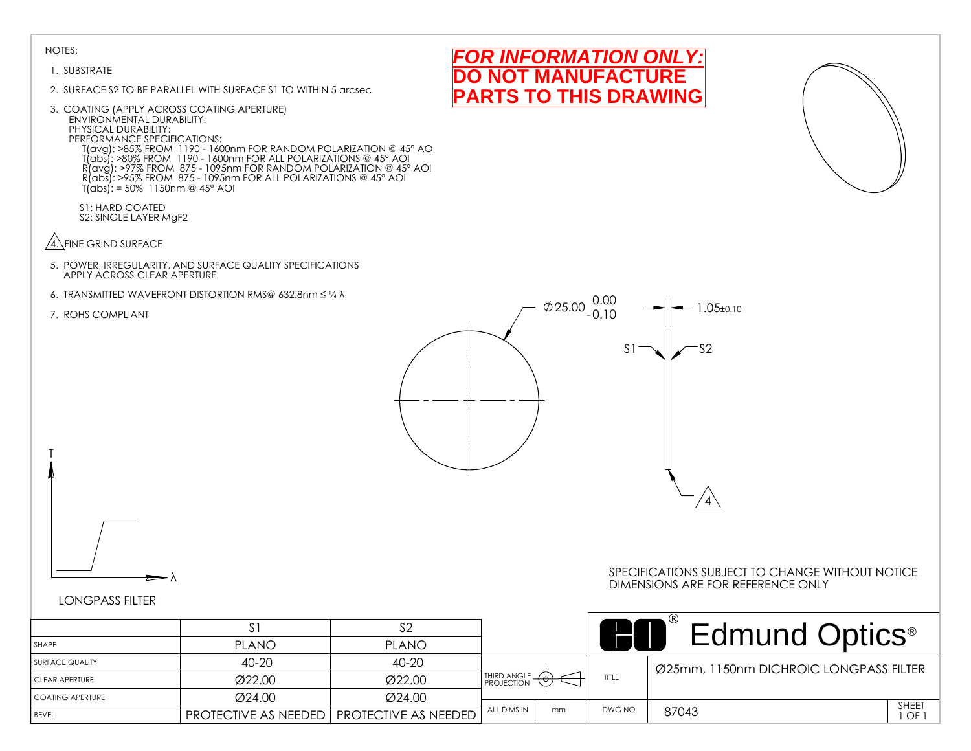#### 1. SUBSTRATE

- 2. SURFACE S2 TO BE PARALLEL WITH SURFACE S1 TO WITHIN 5 arcsec
- 3. COATING (APPLY ACROSS COATING APERTURE) ENVIRONMENTAL DURABILITY: PHYSICAL DURABILITY: PERFORMANCE SPECIFICATIONS: T(avg): >85% FROM 1190 - 1600nm FOR RANDOM POLARIZATION @ 45° AOI T(abs): >80% FROM 1190 - 1600nm FOR ALL POLARIZATIONS @ 45° AOI R(avg): >97% FROM 875 - 1095nm FOR RANDOM POLARIZATION @ 45° AOI R(abs): >95% FROM 875 - 1095nm FOR ALL POLARIZATIONS @ 45° AOI T(abs): = 50% 1150nm @ 45° AOI

S1: HARD COATED S2: SINGLE LAYER MgF2

- $\sqrt{4}$ . FINE GRIND SURFACE
- 5. POWER, IRREGULARITY, AND SURFACE QUALITY SPECIFICATIONS APPLY ACROSS CLEAR APERTURE
- 6. TRANSMITTED WAVEFRONT DISTORTION RMS@ 632.8nm ≤ ¼ λ

#### 7. ROHS COMPLIANT

T



# LONGPASS FILTER

λ

|                    |                             |                      |                                        |    |        | Edmund Optics <sup>®</sup>             |
|--------------------|-----------------------------|----------------------|----------------------------------------|----|--------|----------------------------------------|
| SHAPE              | <b>PLANO</b>                | <b>PLANO</b>         |                                        |    |        |                                        |
| I SURFACE QUALITY  | $40 - 20$                   | 40-20                |                                        |    |        | Ø25mm, 1150nm DICHROIC LONGPASS FILTER |
| CLEAR APERTURE     | Ø22.00                      | Ø22.00               | <b>HIRD ANGLE</b><br><b>PROJECTION</b> |    | TITLE  |                                        |
| I COATING APERTURE | Ø24.00                      | Ø24.00               |                                        |    |        |                                        |
| <b>BEVEL</b>       | <b>PROTECTIVE AS NEEDED</b> | PROTECTIVE AS NEEDED | ALL DIMS IN                            | mm | DWG NO | SHEET<br>87043<br>I OF 1               |